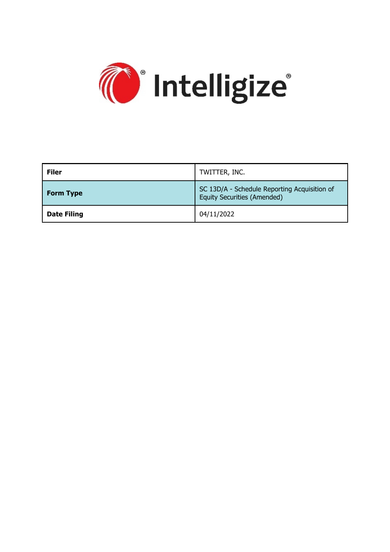

| <b>Filer</b>       | TWITTER, INC.                                                                      |
|--------------------|------------------------------------------------------------------------------------|
| <b>Form Type</b>   | SC 13D/A - Schedule Reporting Acquisition of<br><b>Equity Securities (Amended)</b> |
| <b>Date Filing</b> | 04/11/2022                                                                         |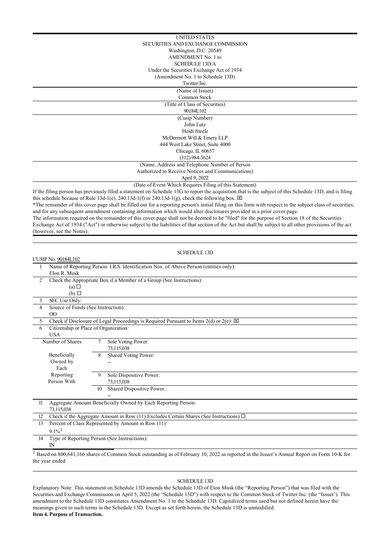\*The remainder of this cover page shall be filled out for a reporting person's initial filing on this form with respect to the subject class of securities, and for any subsequent amendment containing information which would alter disclosures provided in a prior cover page.

The information required on the remainder of this cover page shall not be deemed to be "filed" for the purpose of Section 18 of the Securities Exchange Act of 1934 ("Act") or otherwise subject to the liabilities of that section of the Act but shall be subject to all other provisions of the act (however, see the Notes).

| <b>SCHEDULE 13D</b>                                                 |                                                                                                            |                 |                                                                                             |  |
|---------------------------------------------------------------------|------------------------------------------------------------------------------------------------------------|-----------------|---------------------------------------------------------------------------------------------|--|
| <b>CUSIP No. 90184L102</b>                                          |                                                                                                            |                 |                                                                                             |  |
|                                                                     |                                                                                                            |                 | Name of Reporting Person: I.R.S. Identification Nos. of Above Person (entities only):       |  |
|                                                                     | Elon R. Musk                                                                                               |                 |                                                                                             |  |
| $\overline{2}$                                                      |                                                                                                            |                 | Check the Appropriate Box if a Member of a Group (See Instructions):                        |  |
|                                                                     | $(a)$ $\square$                                                                                            |                 |                                                                                             |  |
|                                                                     | $(b)$ $\square$                                                                                            |                 |                                                                                             |  |
| 3                                                                   | SEC Use Only:                                                                                              |                 |                                                                                             |  |
|                                                                     | Source of Funds (See Instruction):<br>4                                                                    |                 |                                                                                             |  |
|                                                                     | $\Omega$                                                                                                   |                 |                                                                                             |  |
|                                                                     | Check if Disclosure of Legal Proceedings is Required Pursuant to Items $2(d)$ or $2(e)$ : $\boxtimes$<br>5 |                 |                                                                                             |  |
|                                                                     | Citizenship or Place of Organization:<br>6                                                                 |                 |                                                                                             |  |
|                                                                     | <b>USA</b>                                                                                                 |                 |                                                                                             |  |
|                                                                     | Number of Shares                                                                                           | 7               | Sole Voting Power:                                                                          |  |
|                                                                     |                                                                                                            |                 | 73,115,038                                                                                  |  |
|                                                                     | Beneficially                                                                                               | 8               | Shared Voting Power:                                                                        |  |
|                                                                     | Owned by                                                                                                   |                 |                                                                                             |  |
|                                                                     | Each                                                                                                       |                 |                                                                                             |  |
|                                                                     | Reporting                                                                                                  | 9               | Sole Dispositive Power:                                                                     |  |
|                                                                     | Person With                                                                                                |                 | 73,115,038                                                                                  |  |
|                                                                     |                                                                                                            | 10 <sup>1</sup> | Shared Dispositive Power:                                                                   |  |
|                                                                     |                                                                                                            |                 |                                                                                             |  |
| Aggregate Amount Beneficially Owned by Each Reporting Person:<br>11 |                                                                                                            |                 |                                                                                             |  |
|                                                                     | 73,115,038                                                                                                 |                 |                                                                                             |  |
| 12                                                                  |                                                                                                            |                 | Check if the Aggregate Amount in Row (11) Excludes Certain Shares (See Instructions) $\Box$ |  |
| 13                                                                  | Percent of Class Represented by Amount in Row (11):                                                        |                 |                                                                                             |  |
|                                                                     | $9.1\%$ <sup>1</sup>                                                                                       |                 |                                                                                             |  |
| 14                                                                  | Type of Reporting Person (See Instructions):                                                               |                 |                                                                                             |  |
|                                                                     | $\mathbb{N}$                                                                                               |                 |                                                                                             |  |
|                                                                     |                                                                                                            |                 |                                                                                             |  |

<sup>1</sup> Based on 800,641,166 shares of Common Stock outstanding as of February 10, 2022 as reported in the Issuer's Annual Report on Form 10-K for the year ended

## SCHEDULE 13D

Explanatory Note: This statement on Schedule 13D amends the Schedule 13D of Elon Musk (the "Reporting Person") that was filed with the Securities and Exchange Commission on April 5, 2022 (the "Schedule 13D") with respect to the Common Stock of Twitter Inc. (the "Issuer'). This amendment to the Schedule 13D constitutes Amendment No. 1 to the Schedule 13D. Capitalized terms used but not defined herein have the meanings given to such terms in the Schedule 13D. Except as set forth herein, the Schedule 13D is unmodified. **Item 4. Purpose of Transaction.**